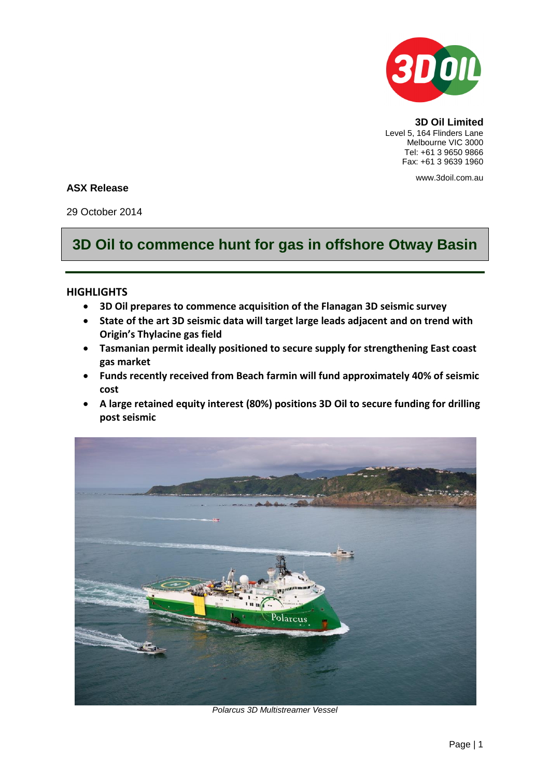

**3D Oil Limited** Level 5, 164 Flinders Lane Melbourne VIC 3000 Tel: +61 3 9650 9866 Fax: +61 3 9639 1960

www.3doil.com.au

## **ASX Release**

29 October 2014

# **3D Oil to commence hunt for gas in offshore Otway Basin**

# **HIGHLIGHTS**

- **3D Oil prepares to commence acquisition of the Flanagan 3D seismic survey**
- **State of the art 3D seismic data will target large leads adjacent and on trend with Origin's Thylacine gas field**
- **Tasmanian permit ideally positioned to secure supply for strengthening East coast gas market**
- **Funds recently received from Beach farmin will fund approximately 40% of seismic cost**
- **A large retained equity interest (80%) positions 3D Oil to secure funding for drilling post seismic**



*Polarcus 3D Multistreamer Vessel*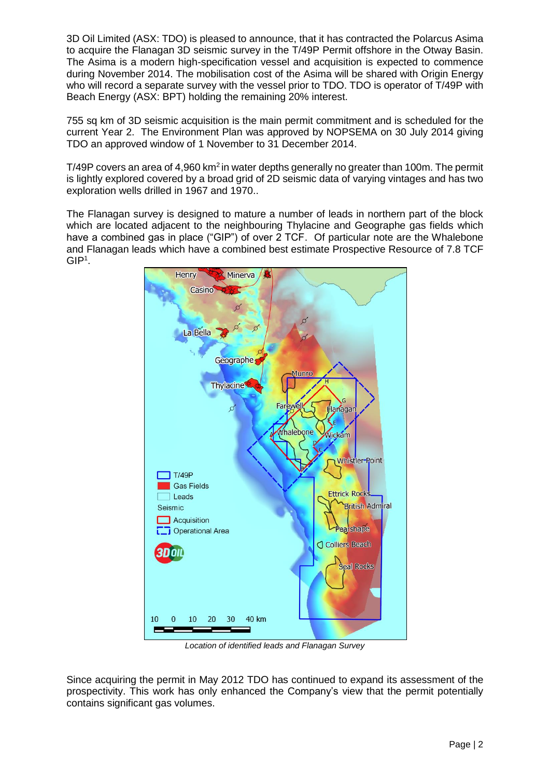3D Oil Limited (ASX: TDO) is pleased to announce, that it has contracted the Polarcus Asima to acquire the Flanagan 3D seismic survey in the T/49P Permit offshore in the Otway Basin. The Asima is a modern high-specification vessel and acquisition is expected to commence during November 2014. The mobilisation cost of the Asima will be shared with Origin Energy who will record a separate survey with the vessel prior to TDO. TDO is operator of T/49P with Beach Energy (ASX: BPT) holding the remaining 20% interest.

755 sq km of 3D seismic acquisition is the main permit commitment and is scheduled for the current Year 2. The Environment Plan was approved by NOPSEMA on 30 July 2014 giving TDO an approved window of 1 November to 31 December 2014.

T/49P covers an area of 4,960 km<sup>2</sup> in water depths generally no greater than 100m. The permit is lightly explored covered by a broad grid of 2D seismic data of varying vintages and has two exploration wells drilled in 1967 and 1970..

The Flanagan survey is designed to mature a number of leads in northern part of the block which are located adjacent to the neighbouring Thylacine and Geographe gas fields which have a combined gas in place ("GIP") of over 2 TCF. Of particular note are the Whalebone and Flanagan leads which have a combined best estimate Prospective Resource of 7.8 TCF  $GIP<sup>1</sup>$ .



*Location of identified leads and Flanagan Survey*

Since acquiring the permit in May 2012 TDO has continued to expand its assessment of the prospectivity. This work has only enhanced the Company's view that the permit potentially contains significant gas volumes.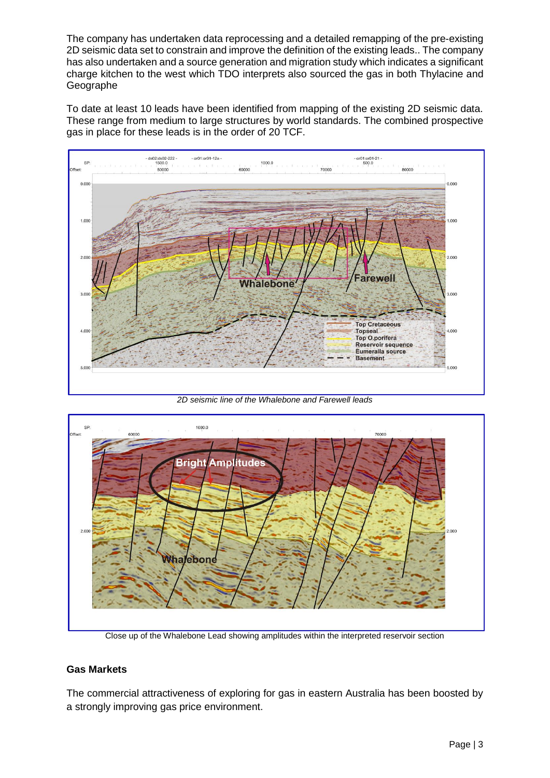The company has undertaken data reprocessing and a detailed remapping of the pre-existing 2D seismic data set to constrain and improve the definition of the existing leads.. The company has also undertaken and a source generation and migration study which indicates a significant charge kitchen to the west which TDO interprets also sourced the gas in both Thylacine and Geographe

To date at least 10 leads have been identified from mapping of the existing 2D seismic data. These range from medium to large structures by world standards. The combined prospective gas in place for these leads is in the order of 20 TCF.



*2D seismic line of the Whalebone and Farewell leads*



Close up of the Whalebone Lead showing amplitudes within the interpreted reservoir section

# **Gas Markets**

The commercial attractiveness of exploring for gas in eastern Australia has been boosted by a strongly improving gas price environment.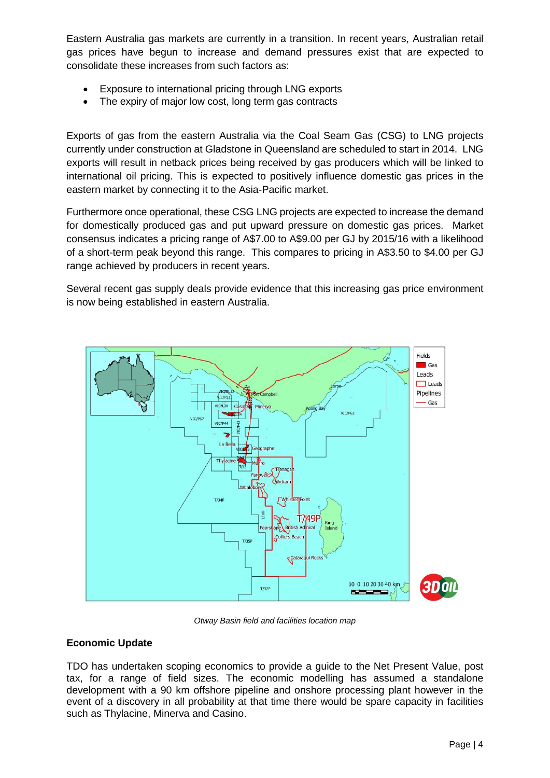Eastern Australia gas markets are currently in a transition. In recent years, Australian retail gas prices have begun to increase and demand pressures exist that are expected to consolidate these increases from such factors as:

- Exposure to international pricing through LNG exports
- The expiry of major low cost, long term gas contracts

Exports of gas from the eastern Australia via the Coal Seam Gas (CSG) to LNG projects currently under construction at Gladstone in Queensland are scheduled to start in 2014. LNG exports will result in netback prices being received by gas producers which will be linked to international oil pricing. This is expected to positively influence domestic gas prices in the eastern market by connecting it to the Asia-Pacific market.

Furthermore once operational, these CSG LNG projects are expected to increase the demand for domestically produced gas and put upward pressure on domestic gas prices. Market consensus indicates a pricing range of A\$7.00 to A\$9.00 per GJ by 2015/16 with a likelihood of a short-term peak beyond this range. This compares to pricing in A\$3.50 to \$4.00 per GJ range achieved by producers in recent years.

Several recent gas supply deals provide evidence that this increasing gas price environment is now being established in eastern Australia.



*Otway Basin field and facilities location map*

### **Economic Update**

TDO has undertaken scoping economics to provide a guide to the Net Present Value, post tax, for a range of field sizes. The economic modelling has assumed a standalone development with a 90 km offshore pipeline and onshore processing plant however in the event of a discovery in all probability at that time there would be spare capacity in facilities such as Thylacine, Minerva and Casino.